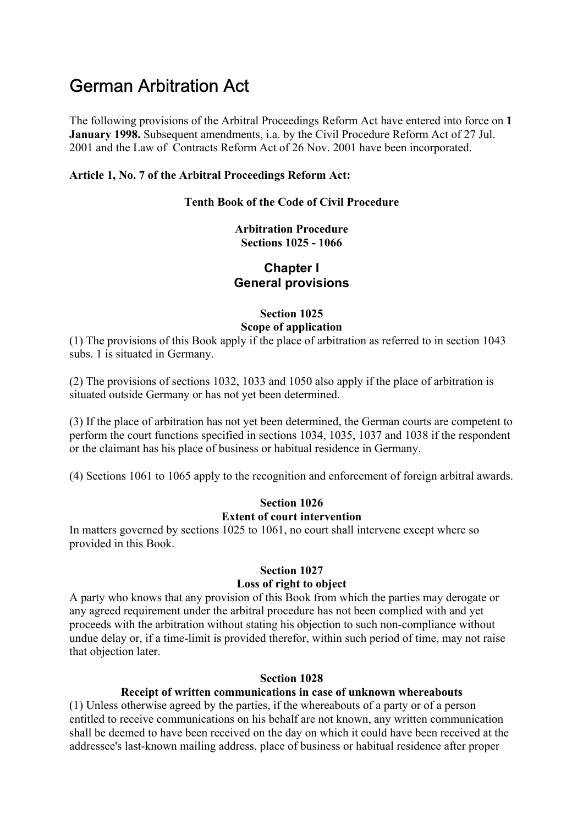# German Arbitration Act

The following provisions of the Arbitral Proceedings Reform Act have entered into force on **1 January 1998.** Subsequent amendments, i.a. by the Civil Procedure Reform Act of 27 Jul. 2001 and the Law of Contracts Reform Act of 26 Nov. 2001 have been incorporated.

## **Article 1, No. 7 of the Arbitral Proceedings Reform Act:**

#### **Tenth Book of the Code of Civil Procedure**

# **Arbitration Procedure Sections 1025 - 1066**

# **Chapter I General provisions**

# **Section 1025**

# **Scope of application**

(1) The provisions of this Book apply if the place of arbitration as referred to in section 1043 subs. 1 is situated in Germany.

(2) The provisions of sections 1032, 1033 and 1050 also apply if the place of arbitration is situated outside Germany or has not yet been determined.

(3) If the place of arbitration has not yet been determined, the German courts are competent to perform the court functions specified in sections 1034, 1035, 1037 and 1038 if the respondent or the claimant has his place of business or habitual residence in Germany.

(4) Sections 1061 to 1065 apply to the recognition and enforcement of foreign arbitral awards.

## **Section 1026 Extent of court intervention**

In matters governed by sections 1025 to 1061, no court shall intervene except where so provided in this Book.

## **Section 1027 Loss of right to object**

A party who knows that any provision of this Book from which the parties may derogate or any agreed requirement under the arbitral procedure has not been complied with and yet proceeds with the arbitration without stating his objection to such non-compliance without undue delay or, if a time-limit is provided therefor, within such period of time, may not raise that objection later.

#### **Section 1028**

# **Receipt of written communications in case of unknown whereabouts**

(1) Unless otherwise agreed by the parties, if the whereabouts of a party or of a person entitled to receive communications on his behalf are not known, any written communication shall be deemed to have been received on the day on which it could have been received at the addressee's last-known mailing address, place of business or habitual residence after proper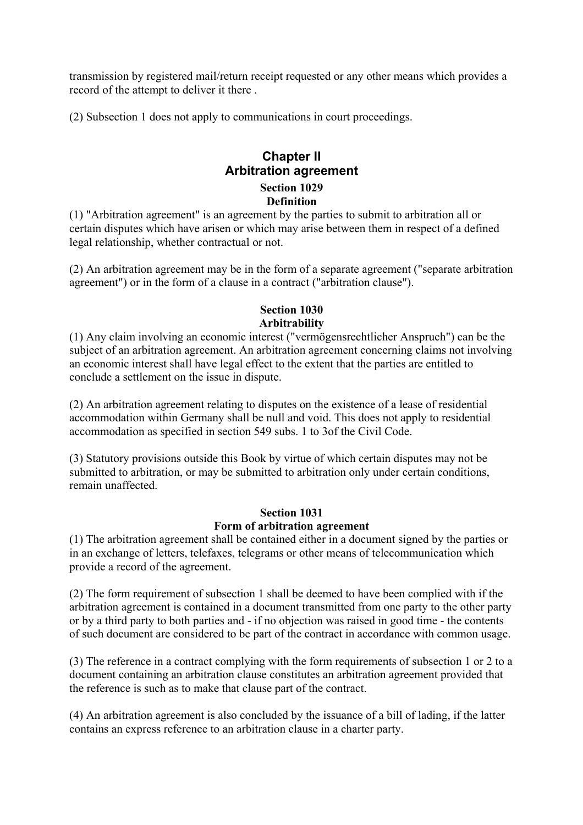transmission by registered mail/return receipt requested or any other means which provides a record of the attempt to deliver it there .

(2) Subsection 1 does not apply to communications in court proceedings.

# **Chapter II Arbitration agreement Section 1029 Definition**

(1) "Arbitration agreement" is an agreement by the parties to submit to arbitration all or certain disputes which have arisen or which may arise between them in respect of a defined legal relationship, whether contractual or not.

(2) An arbitration agreement may be in the form of a separate agreement ("separate arbitration agreement") or in the form of a clause in a contract ("arbitration clause").

# **Section 1030 Arbitrability**

(1) Any claim involving an economic interest ("vermögensrechtlicher Anspruch") can be the subject of an arbitration agreement. An arbitration agreement concerning claims not involving an economic interest shall have legal effect to the extent that the parties are entitled to conclude a settlement on the issue in dispute.

(2) An arbitration agreement relating to disputes on the existence of a lease of residential accommodation within Germany shall be null and void. This does not apply to residential accommodation as specified in section 549 subs. 1 to 3of the Civil Code.

(3) Statutory provisions outside this Book by virtue of which certain disputes may not be submitted to arbitration, or may be submitted to arbitration only under certain conditions, remain unaffected.

## **Section 1031 Form of arbitration agreement**

(1) The arbitration agreement shall be contained either in a document signed by the parties or in an exchange of letters, telefaxes, telegrams or other means of telecommunication which provide a record of the agreement.

(2) The form requirement of subsection 1 shall be deemed to have been complied with if the arbitration agreement is contained in a document transmitted from one party to the other party or by a third party to both parties and - if no objection was raised in good time - the contents of such document are considered to be part of the contract in accordance with common usage.

(3) The reference in a contract complying with the form requirements of subsection 1 or 2 to a document containing an arbitration clause constitutes an arbitration agreement provided that the reference is such as to make that clause part of the contract.

(4) An arbitration agreement is also concluded by the issuance of a bill of lading, if the latter contains an express reference to an arbitration clause in a charter party.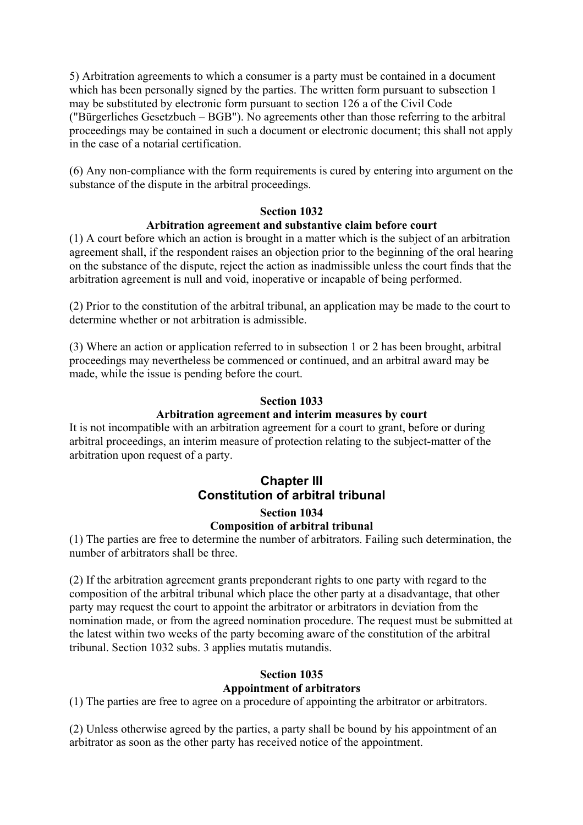5) Arbitration agreements to which a consumer is a party must be contained in a document which has been personally signed by the parties. The written form pursuant to subsection 1 may be substituted by electronic form pursuant to section 126 a of the Civil Code ("Bürgerliches Gesetzbuch – BGB"). No agreements other than those referring to the arbitral proceedings may be contained in such a document or electronic document; this shall not apply in the case of a notarial certification.

(6) Any non-compliance with the form requirements is cured by entering into argument on the substance of the dispute in the arbitral proceedings.

# **Section 1032**

# **Arbitration agreement and substantive claim before court**

(1) A court before which an action is brought in a matter which is the subject of an arbitration agreement shall, if the respondent raises an objection prior to the beginning of the oral hearing on the substance of the dispute, reject the action as inadmissible unless the court finds that the arbitration agreement is null and void, inoperative or incapable of being performed.

(2) Prior to the constitution of the arbitral tribunal, an application may be made to the court to determine whether or not arbitration is admissible.

(3) Where an action or application referred to in subsection 1 or 2 has been brought, arbitral proceedings may nevertheless be commenced or continued, and an arbitral award may be made, while the issue is pending before the court.

#### **Section 1033**

#### **Arbitration agreement and interim measures by court**

It is not incompatible with an arbitration agreement for a court to grant, before or during arbitral proceedings, an interim measure of protection relating to the subject-matter of the arbitration upon request of a party.

# **Chapter III Constitution of arbitral tribunal**

#### **Section 1034 Composition of arbitral tribunal**

(1) The parties are free to determine the number of arbitrators. Failing such determination, the number of arbitrators shall be three.

(2) If the arbitration agreement grants preponderant rights to one party with regard to the composition of the arbitral tribunal which place the other party at a disadvantage, that other party may request the court to appoint the arbitrator or arbitrators in deviation from the nomination made, or from the agreed nomination procedure. The request must be submitted at the latest within two weeks of the party becoming aware of the constitution of the arbitral tribunal. Section 1032 subs. 3 applies mutatis mutandis.

#### **Section 1035 Appointment of arbitrators**

(1) The parties are free to agree on a procedure of appointing the arbitrator or arbitrators.

(2) Unless otherwise agreed by the parties, a party shall be bound by his appointment of an arbitrator as soon as the other party has received notice of the appointment.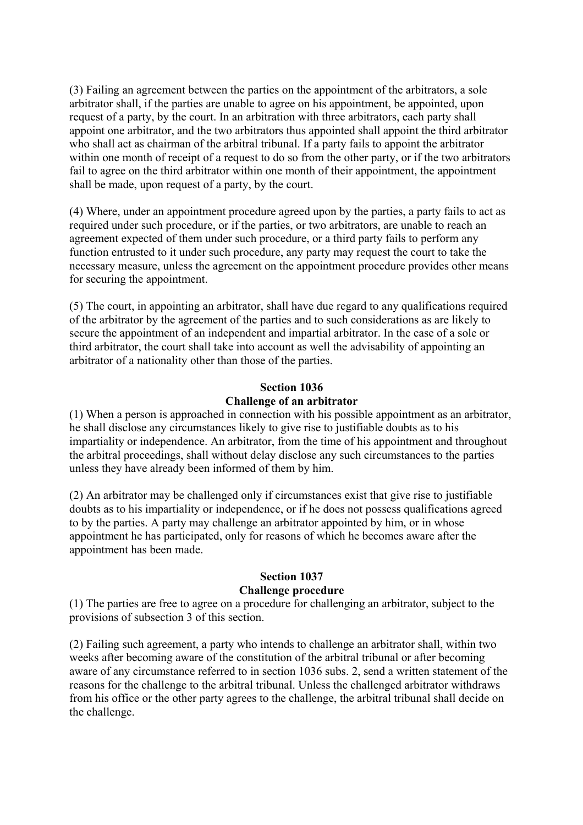(3) Failing an agreement between the parties on the appointment of the arbitrators, a sole arbitrator shall, if the parties are unable to agree on his appointment, be appointed, upon request of a party, by the court. In an arbitration with three arbitrators, each party shall appoint one arbitrator, and the two arbitrators thus appointed shall appoint the third arbitrator who shall act as chairman of the arbitral tribunal. If a party fails to appoint the arbitrator within one month of receipt of a request to do so from the other party, or if the two arbitrators fail to agree on the third arbitrator within one month of their appointment, the appointment shall be made, upon request of a party, by the court.

(4) Where, under an appointment procedure agreed upon by the parties, a party fails to act as required under such procedure, or if the parties, or two arbitrators, are unable to reach an agreement expected of them under such procedure, or a third party fails to perform any function entrusted to it under such procedure, any party may request the court to take the necessary measure, unless the agreement on the appointment procedure provides other means for securing the appointment.

(5) The court, in appointing an arbitrator, shall have due regard to any qualifications required of the arbitrator by the agreement of the parties and to such considerations as are likely to secure the appointment of an independent and impartial arbitrator. In the case of a sole or third arbitrator, the court shall take into account as well the advisability of appointing an arbitrator of a nationality other than those of the parties.

# **Section 1036 Challenge of an arbitrator**

(1) When a person is approached in connection with his possible appointment as an arbitrator, he shall disclose any circumstances likely to give rise to justifiable doubts as to his impartiality or independence. An arbitrator, from the time of his appointment and throughout the arbitral proceedings, shall without delay disclose any such circumstances to the parties unless they have already been informed of them by him.

(2) An arbitrator may be challenged only if circumstances exist that give rise to justifiable doubts as to his impartiality or independence, or if he does not possess qualifications agreed to by the parties. A party may challenge an arbitrator appointed by him, or in whose appointment he has participated, only for reasons of which he becomes aware after the appointment has been made.

# **Section 1037**

# **Challenge procedure**

(1) The parties are free to agree on a procedure for challenging an arbitrator, subject to the provisions of subsection 3 of this section.

(2) Failing such agreement, a party who intends to challenge an arbitrator shall, within two weeks after becoming aware of the constitution of the arbitral tribunal or after becoming aware of any circumstance referred to in section 1036 subs. 2, send a written statement of the reasons for the challenge to the arbitral tribunal. Unless the challenged arbitrator withdraws from his office or the other party agrees to the challenge, the arbitral tribunal shall decide on the challenge.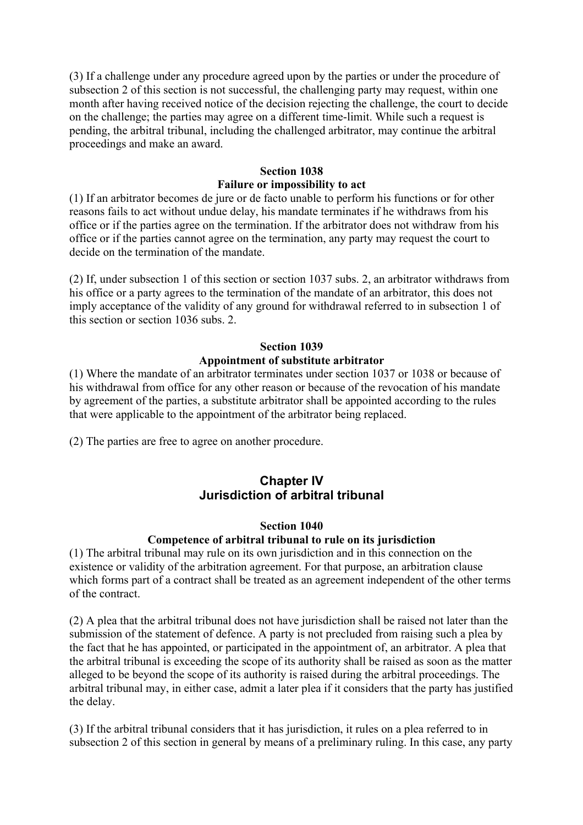(3) If a challenge under any procedure agreed upon by the parties or under the procedure of subsection 2 of this section is not successful, the challenging party may request, within one month after having received notice of the decision rejecting the challenge, the court to decide on the challenge; the parties may agree on a different time-limit. While such a request is pending, the arbitral tribunal, including the challenged arbitrator, may continue the arbitral proceedings and make an award.

# **Section 1038 Failure or impossibility to act**

(1) If an arbitrator becomes de jure or de facto unable to perform his functions or for other reasons fails to act without undue delay, his mandate terminates if he withdraws from his office or if the parties agree on the termination. If the arbitrator does not withdraw from his office or if the parties cannot agree on the termination, any party may request the court to decide on the termination of the mandate.

(2) If, under subsection 1 of this section or section 1037 subs. 2, an arbitrator withdraws from his office or a party agrees to the termination of the mandate of an arbitrator, this does not imply acceptance of the validity of any ground for withdrawal referred to in subsection 1 of this section or section 1036 subs. 2.

# **Section 1039**

# **Appointment of substitute arbitrator**

(1) Where the mandate of an arbitrator terminates under section 1037 or 1038 or because of his withdrawal from office for any other reason or because of the revocation of his mandate by agreement of the parties, a substitute arbitrator shall be appointed according to the rules that were applicable to the appointment of the arbitrator being replaced.

(2) The parties are free to agree on another procedure.

# **Chapter IV Jurisdiction of arbitral tribunal**

#### **Section 1040**

# **Competence of arbitral tribunal to rule on its jurisdiction**

(1) The arbitral tribunal may rule on its own jurisdiction and in this connection on the existence or validity of the arbitration agreement. For that purpose, an arbitration clause which forms part of a contract shall be treated as an agreement independent of the other terms of the contract.

(2) A plea that the arbitral tribunal does not have jurisdiction shall be raised not later than the submission of the statement of defence. A party is not precluded from raising such a plea by the fact that he has appointed, or participated in the appointment of, an arbitrator. A plea that the arbitral tribunal is exceeding the scope of its authority shall be raised as soon as the matter alleged to be beyond the scope of its authority is raised during the arbitral proceedings. The arbitral tribunal may, in either case, admit a later plea if it considers that the party has justified the delay.

(3) If the arbitral tribunal considers that it has jurisdiction, it rules on a plea referred to in subsection 2 of this section in general by means of a preliminary ruling. In this case, any party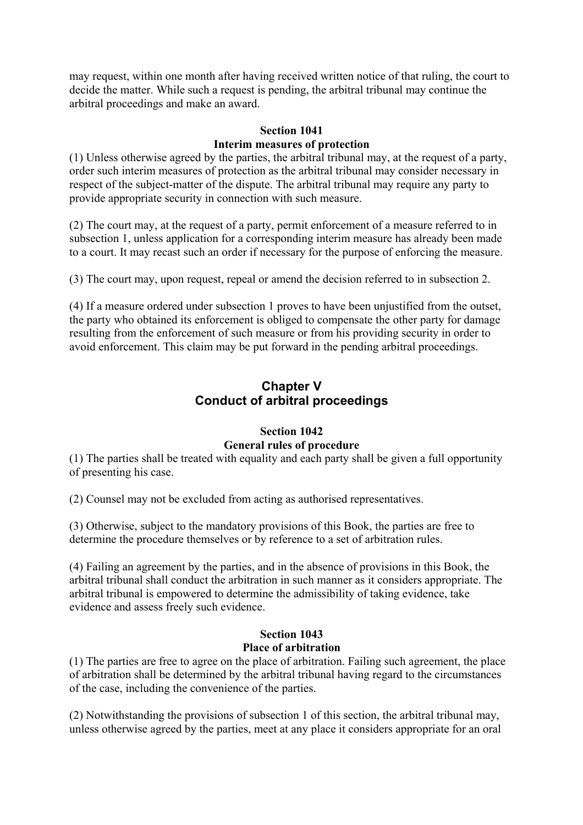may request, within one month after having received written notice of that ruling, the court to decide the matter. While such a request is pending, the arbitral tribunal may continue the arbitral proceedings and make an award.

# **Section 1041 Interim measures of protection**

(1) Unless otherwise agreed by the parties, the arbitral tribunal may, at the request of a party, order such interim measures of protection as the arbitral tribunal may consider necessary in respect of the subject-matter of the dispute. The arbitral tribunal may require any party to provide appropriate security in connection with such measure.

(2) The court may, at the request of a party, permit enforcement of a measure referred to in subsection 1, unless application for a corresponding interim measure has already been made to a court. It may recast such an order if necessary for the purpose of enforcing the measure.

(3) The court may, upon request, repeal or amend the decision referred to in subsection 2.

(4) If a measure ordered under subsection 1 proves to have been unjustified from the outset, the party who obtained its enforcement is obliged to compensate the other party for damage resulting from the enforcement of such measure or from his providing security in order to avoid enforcement. This claim may be put forward in the pending arbitral proceedings.

# **Chapter V Conduct of arbitral proceedings**

## **Section 1042 General rules of procedure**

(1) The parties shall be treated with equality and each party shall be given a full opportunity of presenting his case.

(2) Counsel may not be excluded from acting as authorised representatives.

(3) Otherwise, subject to the mandatory provisions of this Book, the parties are free to determine the procedure themselves or by reference to a set of arbitration rules.

(4) Failing an agreement by the parties, and in the absence of provisions in this Book, the arbitral tribunal shall conduct the arbitration in such manner as it considers appropriate. The arbitral tribunal is empowered to determine the admissibility of taking evidence, take evidence and assess freely such evidence.

## **Section 1043 Place of arbitration**

(1) The parties are free to agree on the place of arbitration. Failing such agreement, the place of arbitration shall be determined by the arbitral tribunal having regard to the circumstances of the case, including the convenience of the parties.

(2) Notwithstanding the provisions of subsection 1 of this section, the arbitral tribunal may, unless otherwise agreed by the parties, meet at any place it considers appropriate for an oral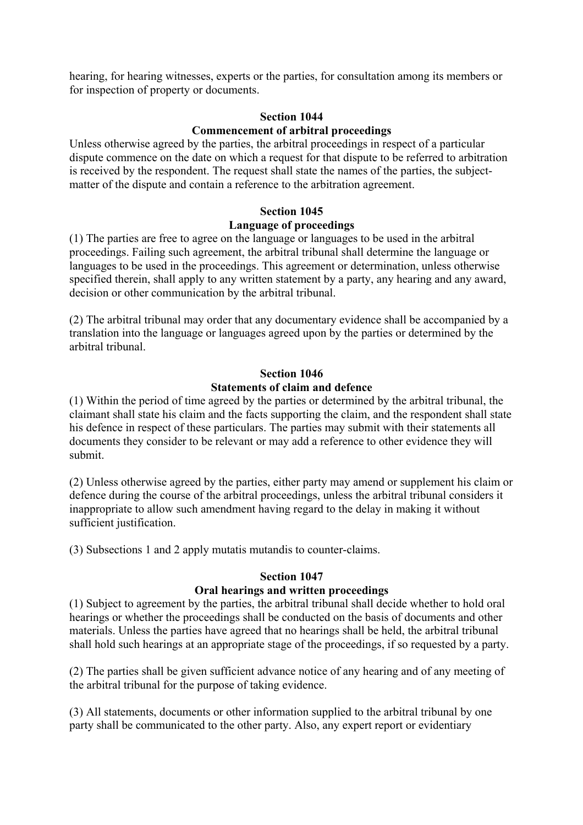hearing, for hearing witnesses, experts or the parties, for consultation among its members or for inspection of property or documents.

## **Section 1044 Commencement of arbitral proceedings**

Unless otherwise agreed by the parties, the arbitral proceedings in respect of a particular dispute commence on the date on which a request for that dispute to be referred to arbitration is received by the respondent. The request shall state the names of the parties, the subjectmatter of the dispute and contain a reference to the arbitration agreement.

# **Section 1045**

## **Language of proceedings**

(1) The parties are free to agree on the language or languages to be used in the arbitral proceedings. Failing such agreement, the arbitral tribunal shall determine the language or languages to be used in the proceedings. This agreement or determination, unless otherwise specified therein, shall apply to any written statement by a party, any hearing and any award, decision or other communication by the arbitral tribunal.

(2) The arbitral tribunal may order that any documentary evidence shall be accompanied by a translation into the language or languages agreed upon by the parties or determined by the arbitral tribunal.

# **Section 1046 Statements of claim and defence**

(1) Within the period of time agreed by the parties or determined by the arbitral tribunal, the claimant shall state his claim and the facts supporting the claim, and the respondent shall state his defence in respect of these particulars. The parties may submit with their statements all documents they consider to be relevant or may add a reference to other evidence they will submit.

(2) Unless otherwise agreed by the parties, either party may amend or supplement his claim or defence during the course of the arbitral proceedings, unless the arbitral tribunal considers it inappropriate to allow such amendment having regard to the delay in making it without sufficient justification.

(3) Subsections 1 and 2 apply mutatis mutandis to counter-claims.

#### **Section 1047**

# **Oral hearings and written proceedings**

(1) Subject to agreement by the parties, the arbitral tribunal shall decide whether to hold oral hearings or whether the proceedings shall be conducted on the basis of documents and other materials. Unless the parties have agreed that no hearings shall be held, the arbitral tribunal shall hold such hearings at an appropriate stage of the proceedings, if so requested by a party.

(2) The parties shall be given sufficient advance notice of any hearing and of any meeting of the arbitral tribunal for the purpose of taking evidence.

(3) All statements, documents or other information supplied to the arbitral tribunal by one party shall be communicated to the other party. Also, any expert report or evidentiary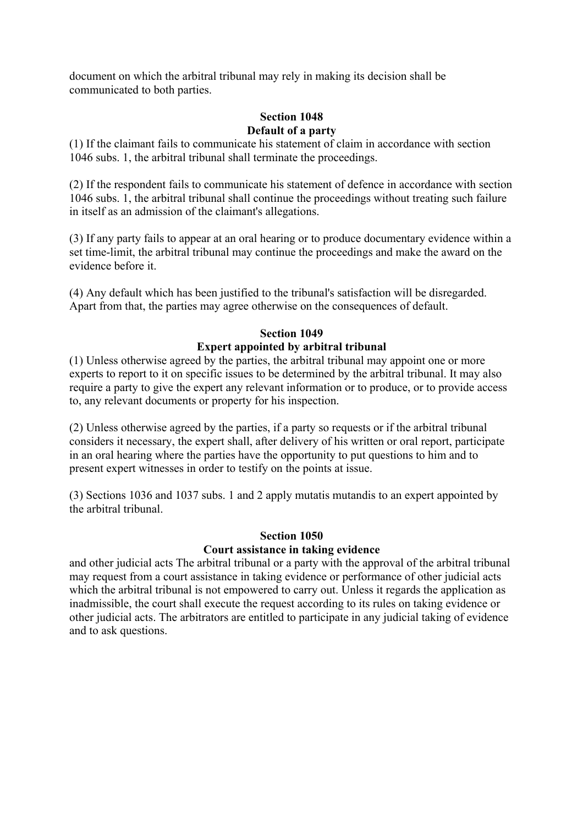document on which the arbitral tribunal may rely in making its decision shall be communicated to both parties.

## **Section 1048 Default of a party**

(1) If the claimant fails to communicate his statement of claim in accordance with section 1046 subs. 1, the arbitral tribunal shall terminate the proceedings.

(2) If the respondent fails to communicate his statement of defence in accordance with section 1046 subs. 1, the arbitral tribunal shall continue the proceedings without treating such failure in itself as an admission of the claimant's allegations.

(3) If any party fails to appear at an oral hearing or to produce documentary evidence within a set time-limit, the arbitral tribunal may continue the proceedings and make the award on the evidence before it.

(4) Any default which has been justified to the tribunal's satisfaction will be disregarded. Apart from that, the parties may agree otherwise on the consequences of default.

# **Section 1049 Expert appointed by arbitral tribunal**

(1) Unless otherwise agreed by the parties, the arbitral tribunal may appoint one or more experts to report to it on specific issues to be determined by the arbitral tribunal. It may also require a party to give the expert any relevant information or to produce, or to provide access to, any relevant documents or property for his inspection.

(2) Unless otherwise agreed by the parties, if a party so requests or if the arbitral tribunal considers it necessary, the expert shall, after delivery of his written or oral report, participate in an oral hearing where the parties have the opportunity to put questions to him and to present expert witnesses in order to testify on the points at issue.

(3) Sections 1036 and 1037 subs. 1 and 2 apply mutatis mutandis to an expert appointed by the arbitral tribunal.

# **Section 1050**

# **Court assistance in taking evidence**

and other judicial acts The arbitral tribunal or a party with the approval of the arbitral tribunal may request from a court assistance in taking evidence or performance of other judicial acts which the arbitral tribunal is not empowered to carry out. Unless it regards the application as inadmissible, the court shall execute the request according to its rules on taking evidence or other judicial acts. The arbitrators are entitled to participate in any judicial taking of evidence and to ask questions.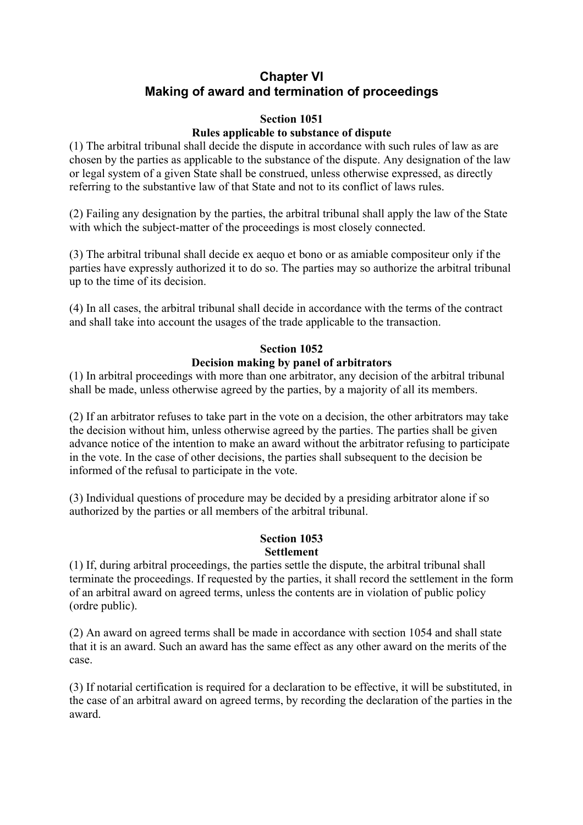# **Chapter VI Making of award and termination of proceedings**

# **Section 1051**

# **Rules applicable to substance of dispute**

(1) The arbitral tribunal shall decide the dispute in accordance with such rules of law as are chosen by the parties as applicable to the substance of the dispute. Any designation of the law or legal system of a given State shall be construed, unless otherwise expressed, as directly referring to the substantive law of that State and not to its conflict of laws rules.

(2) Failing any designation by the parties, the arbitral tribunal shall apply the law of the State with which the subject-matter of the proceedings is most closely connected.

(3) The arbitral tribunal shall decide ex aequo et bono or as amiable compositeur only if the parties have expressly authorized it to do so. The parties may so authorize the arbitral tribunal up to the time of its decision.

(4) In all cases, the arbitral tribunal shall decide in accordance with the terms of the contract and shall take into account the usages of the trade applicable to the transaction.

# **Section 1052**

# **Decision making by panel of arbitrators**

(1) In arbitral proceedings with more than one arbitrator, any decision of the arbitral tribunal shall be made, unless otherwise agreed by the parties, by a majority of all its members.

(2) If an arbitrator refuses to take part in the vote on a decision, the other arbitrators may take the decision without him, unless otherwise agreed by the parties. The parties shall be given advance notice of the intention to make an award without the arbitrator refusing to participate in the vote. In the case of other decisions, the parties shall subsequent to the decision be informed of the refusal to participate in the vote.

(3) Individual questions of procedure may be decided by a presiding arbitrator alone if so authorized by the parties or all members of the arbitral tribunal.

## **Section 1053 Settlement**

(1) If, during arbitral proceedings, the parties settle the dispute, the arbitral tribunal shall terminate the proceedings. If requested by the parties, it shall record the settlement in the form of an arbitral award on agreed terms, unless the contents are in violation of public policy (ordre public).

(2) An award on agreed terms shall be made in accordance with section 1054 and shall state that it is an award. Such an award has the same effect as any other award on the merits of the case.

(3) If notarial certification is required for a declaration to be effective, it will be substituted, in the case of an arbitral award on agreed terms, by recording the declaration of the parties in the award.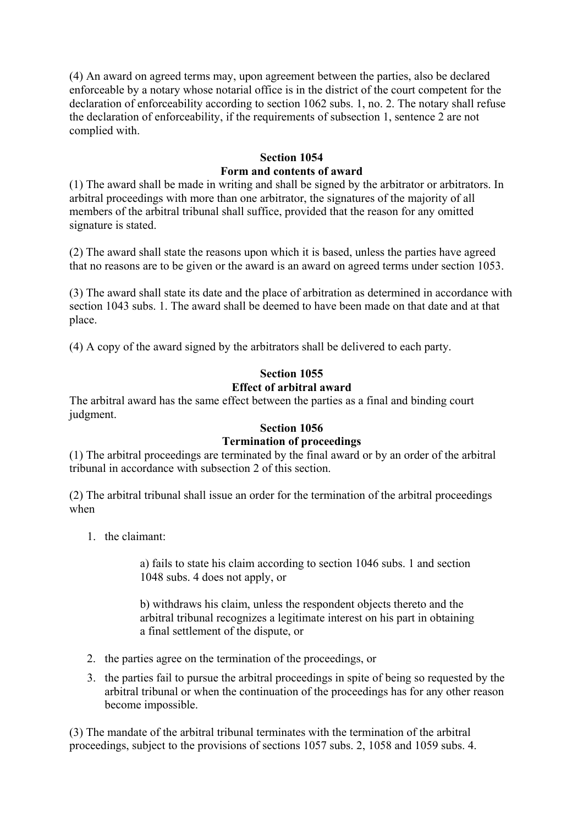(4) An award on agreed terms may, upon agreement between the parties, also be declared enforceable by a notary whose notarial office is in the district of the court competent for the declaration of enforceability according to section 1062 subs. 1, no. 2. The notary shall refuse the declaration of enforceability, if the requirements of subsection 1, sentence 2 are not complied with.

# **Section 1054 Form and contents of award**

(1) The award shall be made in writing and shall be signed by the arbitrator or arbitrators. In arbitral proceedings with more than one arbitrator, the signatures of the majority of all members of the arbitral tribunal shall suffice, provided that the reason for any omitted signature is stated.

(2) The award shall state the reasons upon which it is based, unless the parties have agreed that no reasons are to be given or the award is an award on agreed terms under section 1053.

(3) The award shall state its date and the place of arbitration as determined in accordance with section 1043 subs. 1. The award shall be deemed to have been made on that date and at that place.

(4) A copy of the award signed by the arbitrators shall be delivered to each party.

# **Section 1055 Effect of arbitral award**

The arbitral award has the same effect between the parties as a final and binding court judgment.

# **Section 1056**

# **Termination of proceedings**

(1) The arbitral proceedings are terminated by the final award or by an order of the arbitral tribunal in accordance with subsection 2 of this section.

(2) The arbitral tribunal shall issue an order for the termination of the arbitral proceedings when

1. the claimant:

a) fails to state his claim according to section 1046 subs. 1 and section 1048 subs. 4 does not apply, or

b) withdraws his claim, unless the respondent objects thereto and the arbitral tribunal recognizes a legitimate interest on his part in obtaining a final settlement of the dispute, or

- 2. the parties agree on the termination of the proceedings, or
- 3. the parties fail to pursue the arbitral proceedings in spite of being so requested by the arbitral tribunal or when the continuation of the proceedings has for any other reason become impossible.

(3) The mandate of the arbitral tribunal terminates with the termination of the arbitral proceedings, subject to the provisions of sections 1057 subs. 2, 1058 and 1059 subs. 4.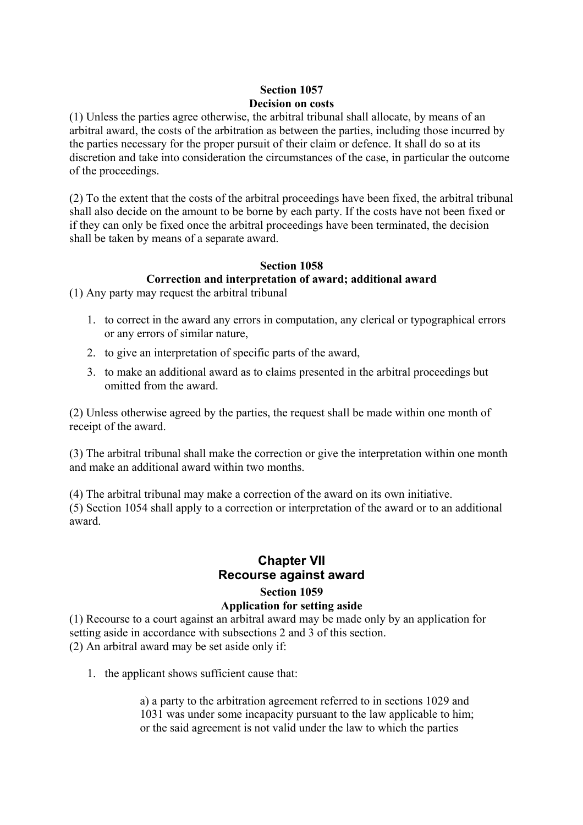# **Section 1057 Decision on costs**

(1) Unless the parties agree otherwise, the arbitral tribunal shall allocate, by means of an arbitral award, the costs of the arbitration as between the parties, including those incurred by the parties necessary for the proper pursuit of their claim or defence. It shall do so at its discretion and take into consideration the circumstances of the case, in particular the outcome of the proceedings.

(2) To the extent that the costs of the arbitral proceedings have been fixed, the arbitral tribunal shall also decide on the amount to be borne by each party. If the costs have not been fixed or if they can only be fixed once the arbitral proceedings have been terminated, the decision shall be taken by means of a separate award.

#### **Section 1058 Correction and interpretation of award; additional award**

(1) Any party may request the arbitral tribunal

- 1. to correct in the award any errors in computation, any clerical or typographical errors or any errors of similar nature,
- 2. to give an interpretation of specific parts of the award,
- 3. to make an additional award as to claims presented in the arbitral proceedings but omitted from the award.

(2) Unless otherwise agreed by the parties, the request shall be made within one month of receipt of the award.

(3) The arbitral tribunal shall make the correction or give the interpretation within one month and make an additional award within two months.

(4) The arbitral tribunal may make a correction of the award on its own initiative. (5) Section 1054 shall apply to a correction or interpretation of the award or to an additional award.

# **Chapter VII Recourse against award**

# **Section 1059**

# **Application for setting aside**

(1) Recourse to a court against an arbitral award may be made only by an application for setting aside in accordance with subsections 2 and 3 of this section. (2) An arbitral award may be set aside only if:

1. the applicant shows sufficient cause that:

a) a party to the arbitration agreement referred to in sections 1029 and 1031 was under some incapacity pursuant to the law applicable to him; or the said agreement is not valid under the law to which the parties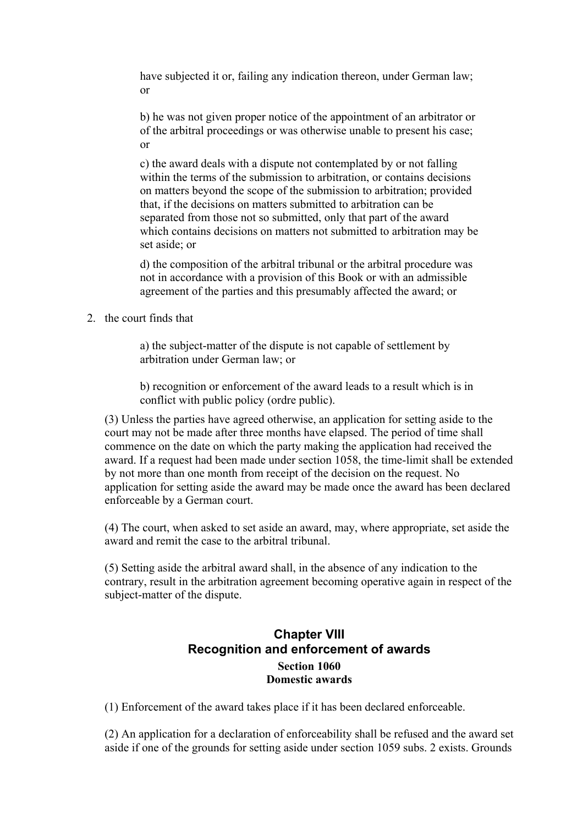have subjected it or, failing any indication thereon, under German law; or

b) he was not given proper notice of the appointment of an arbitrator or of the arbitral proceedings or was otherwise unable to present his case; or

c) the award deals with a dispute not contemplated by or not falling within the terms of the submission to arbitration, or contains decisions on matters beyond the scope of the submission to arbitration; provided that, if the decisions on matters submitted to arbitration can be separated from those not so submitted, only that part of the award which contains decisions on matters not submitted to arbitration may be set aside: or

d) the composition of the arbitral tribunal or the arbitral procedure was not in accordance with a provision of this Book or with an admissible agreement of the parties and this presumably affected the award; or

2. the court finds that

a) the subject-matter of the dispute is not capable of settlement by arbitration under German law; or

b) recognition or enforcement of the award leads to a result which is in conflict with public policy (ordre public).

(3) Unless the parties have agreed otherwise, an application for setting aside to the court may not be made after three months have elapsed. The period of time shall commence on the date on which the party making the application had received the award. If a request had been made under section 1058, the time-limit shall be extended by not more than one month from receipt of the decision on the request. No application for setting aside the award may be made once the award has been declared enforceable by a German court.

(4) The court, when asked to set aside an award, may, where appropriate, set aside the award and remit the case to the arbitral tribunal.

(5) Setting aside the arbitral award shall, in the absence of any indication to the contrary, result in the arbitration agreement becoming operative again in respect of the subject-matter of the dispute.

# **Chapter VIII Recognition and enforcement of awards Section 1060 Domestic awards**

(1) Enforcement of the award takes place if it has been declared enforceable.

(2) An application for a declaration of enforceability shall be refused and the award set aside if one of the grounds for setting aside under section 1059 subs. 2 exists. Grounds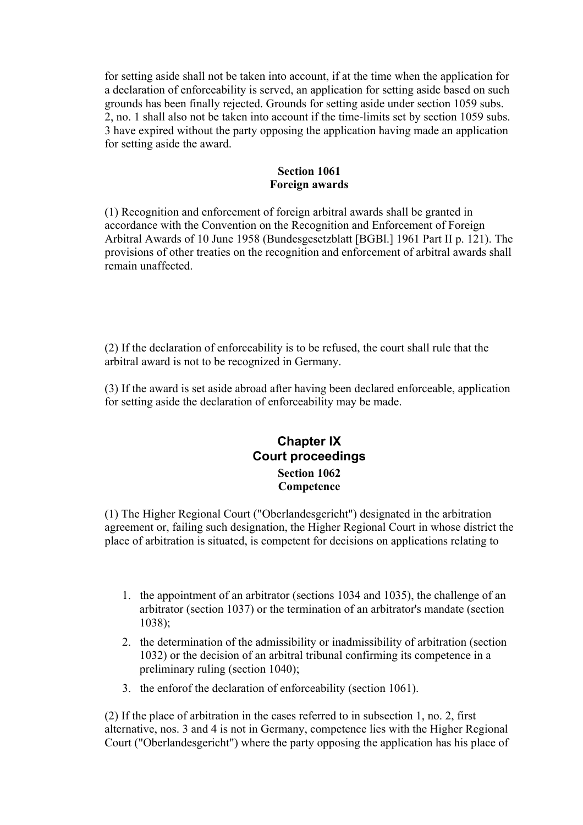for setting aside shall not be taken into account, if at the time when the application for a declaration of enforceability is served, an application for setting aside based on such grounds has been finally rejected. Grounds for setting aside under section 1059 subs. 2, no. 1 shall also not be taken into account if the time-limits set by section 1059 subs. 3 have expired without the party opposing the application having made an application for setting aside the award.

# **Section 1061 Foreign awards**

(1) Recognition and enforcement of foreign arbitral awards shall be granted in accordance with the Convention on the Recognition and Enforcement of Foreign Arbitral Awards of 10 June 1958 (Bundesgesetzblatt [BGBl.] 1961 Part II p. 121). The provisions of other treaties on the recognition and enforcement of arbitral awards shall remain unaffected.

(2) If the declaration of enforceability is to be refused, the court shall rule that the arbitral award is not to be recognized in Germany.

(3) If the award is set aside abroad after having been declared enforceable, application for setting aside the declaration of enforceability may be made.

# **Chapter IX Court proceedings Section 1062 Competence**

(1) The Higher Regional Court ("Oberlandesgericht") designated in the arbitration agreement or, failing such designation, the Higher Regional Court in whose district the place of arbitration is situated, is competent for decisions on applications relating to

- 1. the appointment of an arbitrator (sections 1034 and 1035), the challenge of an arbitrator (section 1037) or the termination of an arbitrator's mandate (section 1038);
- 2. the determination of the admissibility or inadmissibility of arbitration (section 1032) or the decision of an arbitral tribunal confirming its competence in a preliminary ruling (section 1040);
- 3. the enforof the declaration of enforceability (section 1061).

(2) If the place of arbitration in the cases referred to in subsection 1, no. 2, first alternative, nos. 3 and 4 is not in Germany, competence lies with the Higher Regional Court ("Oberlandesgericht") where the party opposing the application has his place of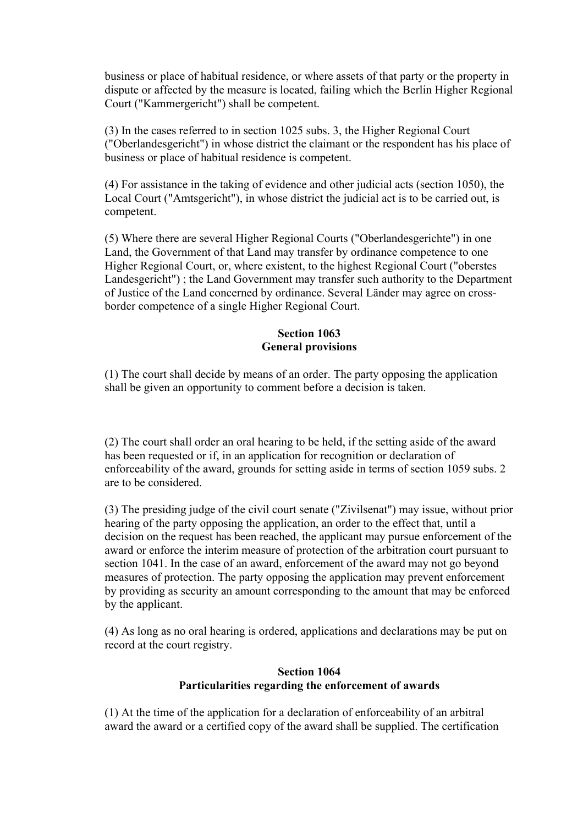business or place of habitual residence, or where assets of that party or the property in dispute or affected by the measure is located, failing which the Berlin Higher Regional Court ("Kammergericht") shall be competent.

(3) In the cases referred to in section 1025 subs. 3, the Higher Regional Court ("Oberlandesgericht") in whose district the claimant or the respondent has his place of business or place of habitual residence is competent.

(4) For assistance in the taking of evidence and other judicial acts (section 1050), the Local Court ("Amtsgericht"), in whose district the judicial act is to be carried out, is competent.

(5) Where there are several Higher Regional Courts ("Oberlandesgerichte") in one Land, the Government of that Land may transfer by ordinance competence to one Higher Regional Court, or, where existent, to the highest Regional Court ("oberstes Landesgericht") ; the Land Government may transfer such authority to the Department of Justice of the Land concerned by ordinance. Several Länder may agree on crossborder competence of a single Higher Regional Court.

#### **Section 1063 General provisions**

(1) The court shall decide by means of an order. The party opposing the application shall be given an opportunity to comment before a decision is taken.

(2) The court shall order an oral hearing to be held, if the setting aside of the award has been requested or if, in an application for recognition or declaration of enforceability of the award, grounds for setting aside in terms of section 1059 subs. 2 are to be considered.

(3) The presiding judge of the civil court senate ("Zivilsenat") may issue, without prior hearing of the party opposing the application, an order to the effect that, until a decision on the request has been reached, the applicant may pursue enforcement of the award or enforce the interim measure of protection of the arbitration court pursuant to section 1041. In the case of an award, enforcement of the award may not go beyond measures of protection. The party opposing the application may prevent enforcement by providing as security an amount corresponding to the amount that may be enforced by the applicant.

(4) As long as no oral hearing is ordered, applications and declarations may be put on record at the court registry.

# **Section 1064 Particularities regarding the enforcement of awards**

(1) At the time of the application for a declaration of enforceability of an arbitral award the award or a certified copy of the award shall be supplied. The certification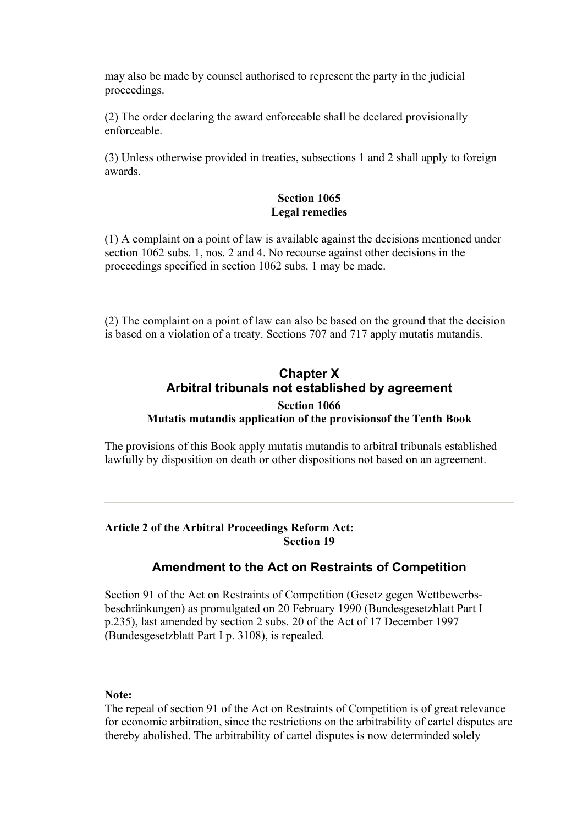may also be made by counsel authorised to represent the party in the judicial proceedings.

(2) The order declaring the award enforceable shall be declared provisionally enforceable.

(3) Unless otherwise provided in treaties, subsections 1 and 2 shall apply to foreign awards.

## **Section 1065 Legal remedies**

(1) A complaint on a point of law is available against the decisions mentioned under section 1062 subs. 1, nos. 2 and 4. No recourse against other decisions in the proceedings specified in section 1062 subs. 1 may be made.

(2) The complaint on a point of law can also be based on the ground that the decision is based on a violation of a treaty. Sections 707 and 717 apply mutatis mutandis.

# **Chapter X Arbitral tribunals not established by agreement Section 1066 Mutatis mutandis application of the provisionsof the Tenth Book**

The provisions of this Book apply mutatis mutandis to arbitral tribunals established lawfully by disposition on death or other dispositions not based on an agreement.

## **Article 2 of the Arbitral Proceedings Reform Act: Section 19**

# **Amendment to the Act on Restraints of Competition**

Section 91 of the Act on Restraints of Competition (Gesetz gegen Wettbewerbsbeschränkungen) as promulgated on 20 February 1990 (Bundesgesetzblatt Part I p.235), last amended by section 2 subs. 20 of the Act of 17 December 1997 (Bundesgesetzblatt Part I p. 3108), is repealed.

#### **Note:**

The repeal of section 91 of the Act on Restraints of Competition is of great relevance for economic arbitration, since the restrictions on the arbitrability of cartel disputes are thereby abolished. The arbitrability of cartel disputes is now determinded solely